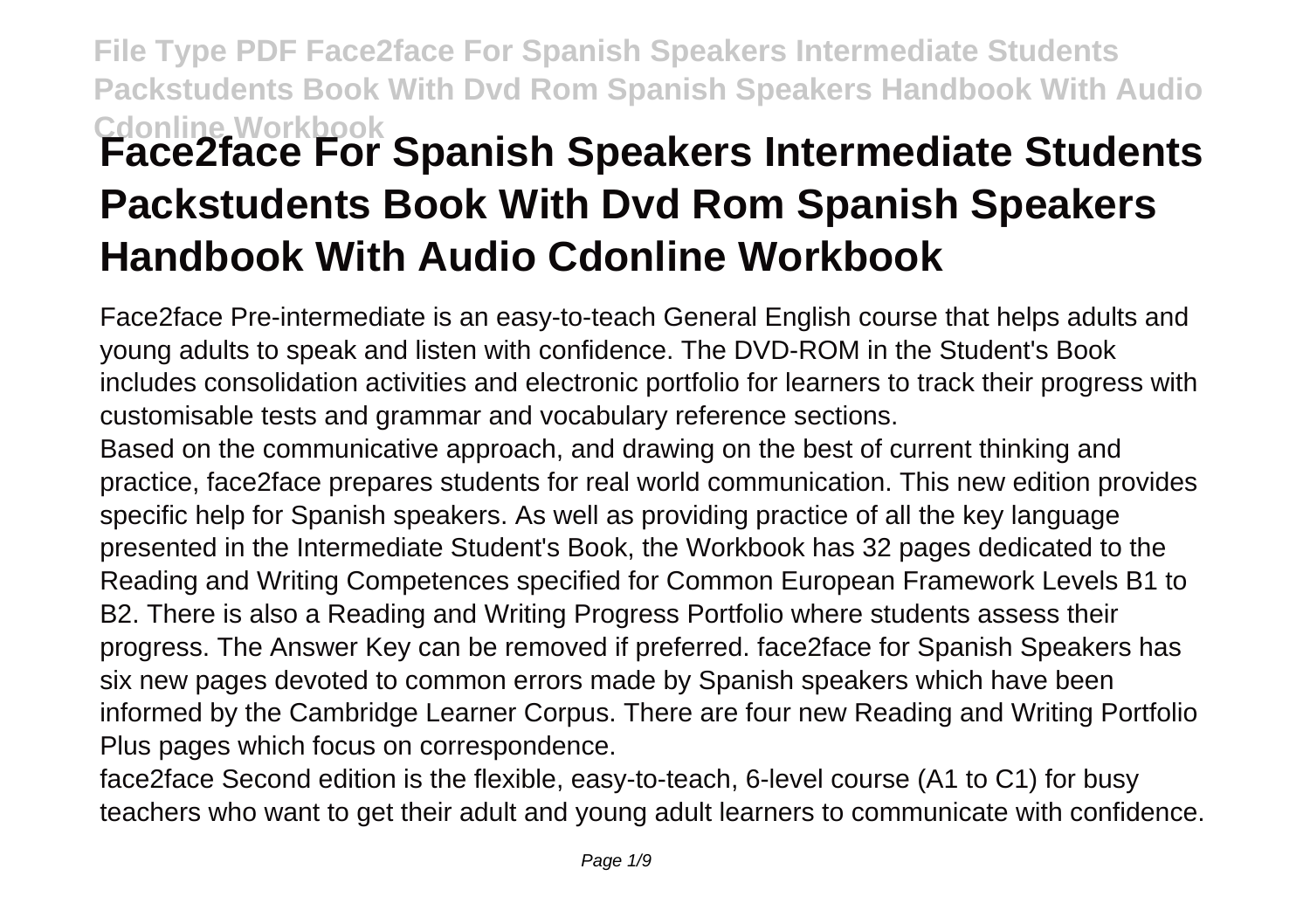## **File Type PDF Face2face For Spanish Speakers Intermediate Students Packstudents Book With Dvd Rom Spanish Speakers Handbook With Audio Cdonline Workbook Face2face For Spanish Speakers Intermediate Students Packstudents Book With Dvd Rom Spanish Speakers Handbook With Audio Cdonline Workbook**

Face2face Pre-intermediate is an easy-to-teach General English course that helps adults and young adults to speak and listen with confidence. The DVD-ROM in the Student's Book includes consolidation activities and electronic portfolio for learners to track their progress with customisable tests and grammar and vocabulary reference sections.

Based on the communicative approach, and drawing on the best of current thinking and practice, face2face prepares students for real world communication. This new edition provides specific help for Spanish speakers. As well as providing practice of all the key language presented in the Intermediate Student's Book, the Workbook has 32 pages dedicated to the Reading and Writing Competences specified for Common European Framework Levels B1 to B2. There is also a Reading and Writing Progress Portfolio where students assess their progress. The Answer Key can be removed if preferred. face2face for Spanish Speakers has six new pages devoted to common errors made by Spanish speakers which have been informed by the Cambridge Learner Corpus. There are four new Reading and Writing Portfolio Plus pages which focus on correspondence.

face2face Second edition is the flexible, easy-to-teach, 6-level course (A1 to C1) for busy teachers who want to get their adult and young adult learners to communicate with confidence.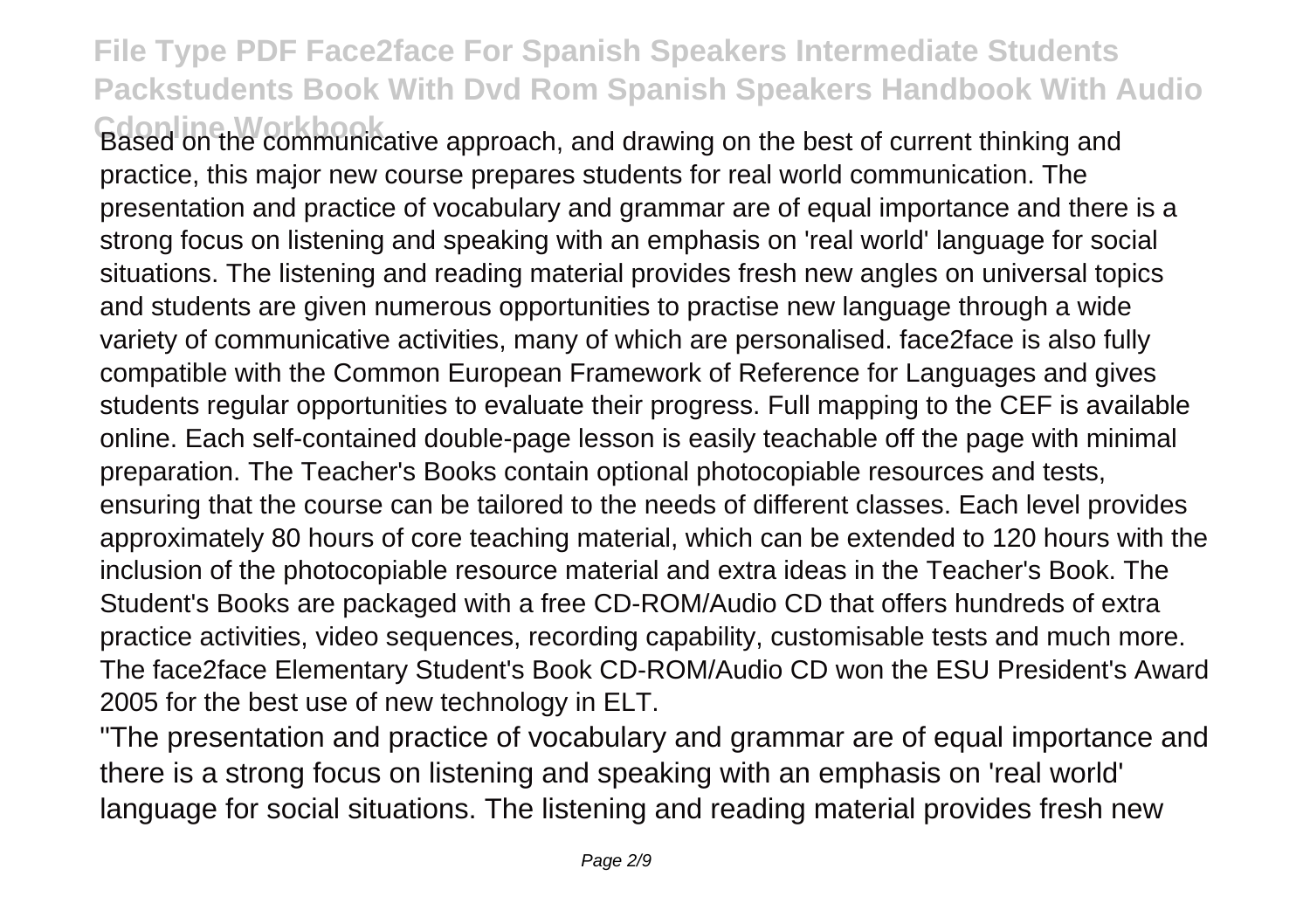**Cdonline Workbook** Based on the communicative approach, and drawing on the best of current thinking and practice, this major new course prepares students for real world communication. The presentation and practice of vocabulary and grammar are of equal importance and there is a strong focus on listening and speaking with an emphasis on 'real world' language for social situations. The listening and reading material provides fresh new angles on universal topics and students are given numerous opportunities to practise new language through a wide variety of communicative activities, many of which are personalised. face2face is also fully compatible with the Common European Framework of Reference for Languages and gives students regular opportunities to evaluate their progress. Full mapping to the CEF is available online. Each self-contained double-page lesson is easily teachable off the page with minimal preparation. The Teacher's Books contain optional photocopiable resources and tests, ensuring that the course can be tailored to the needs of different classes. Each level provides approximately 80 hours of core teaching material, which can be extended to 120 hours with the inclusion of the photocopiable resource material and extra ideas in the Teacher's Book. The Student's Books are packaged with a free CD-ROM/Audio CD that offers hundreds of extra practice activities, video sequences, recording capability, customisable tests and much more. The face2face Elementary Student's Book CD-ROM/Audio CD won the ESU President's Award 2005 for the best use of new technology in ELT.

"The presentation and practice of vocabulary and grammar are of equal importance and there is a strong focus on listening and speaking with an emphasis on 'real world' language for social situations. The listening and reading material provides fresh new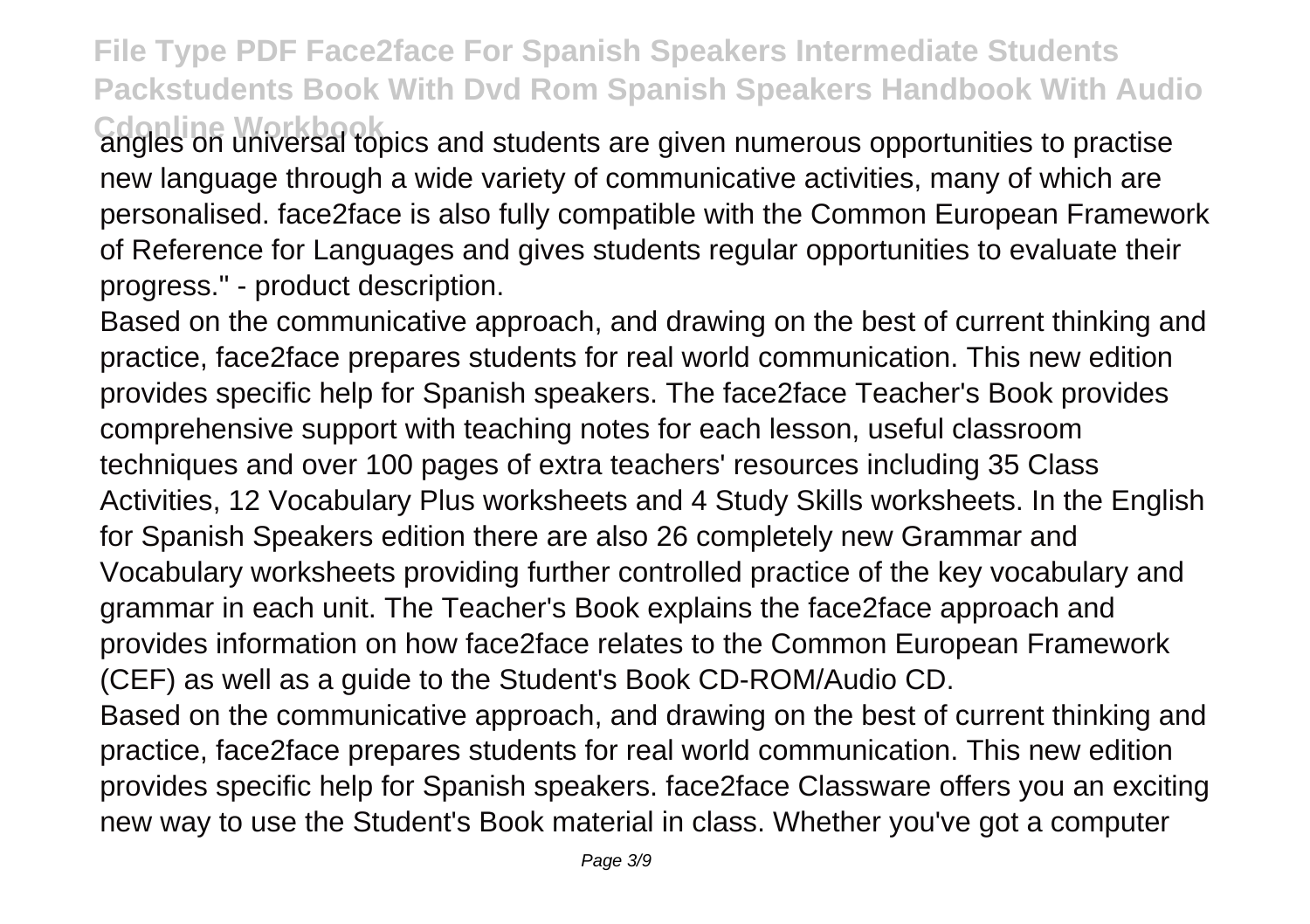Cdonline Workbook<br>angles on universal topics and students are given numerous opportunities to practise new language through a wide variety of communicative activities, many of which are personalised. face2face is also fully compatible with the Common European Framework of Reference for Languages and gives students regular opportunities to evaluate their progress." - product description.

Based on the communicative approach, and drawing on the best of current thinking and practice, face2face prepares students for real world communication. This new edition provides specific help for Spanish speakers. The face2face Teacher's Book provides comprehensive support with teaching notes for each lesson, useful classroom techniques and over 100 pages of extra teachers' resources including 35 Class Activities, 12 Vocabulary Plus worksheets and 4 Study Skills worksheets. In the English for Spanish Speakers edition there are also 26 completely new Grammar and Vocabulary worksheets providing further controlled practice of the key vocabulary and grammar in each unit. The Teacher's Book explains the face2face approach and provides information on how face2face relates to the Common European Framework (CEF) as well as a guide to the Student's Book CD-ROM/Audio CD. Based on the communicative approach, and drawing on the best of current thinking and practice, face2face prepares students for real world communication. This new edition

provides specific help for Spanish speakers. face2face Classware offers you an exciting new way to use the Student's Book material in class. Whether you've got a computer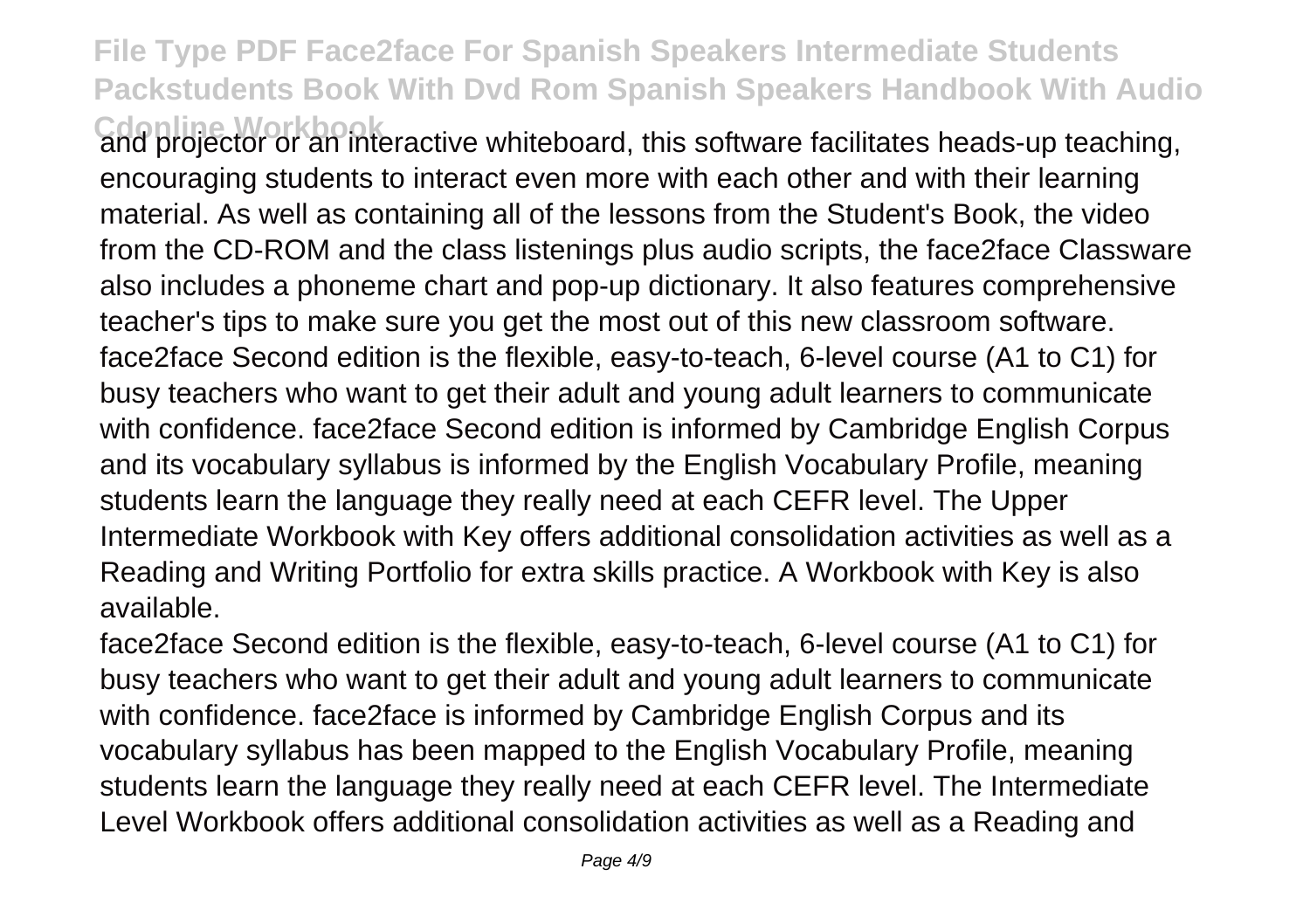Cdonline Workbook<br>and projector or an interactive whiteboard, this software facilitates heads-up teaching, encouraging students to interact even more with each other and with their learning material. As well as containing all of the lessons from the Student's Book, the video from the CD-ROM and the class listenings plus audio scripts, the face2face Classware also includes a phoneme chart and pop-up dictionary. It also features comprehensive teacher's tips to make sure you get the most out of this new classroom software. face2face Second edition is the flexible, easy-to-teach, 6-level course (A1 to C1) for busy teachers who want to get their adult and young adult learners to communicate with confidence. face2face Second edition is informed by Cambridge English Corpus and its vocabulary syllabus is informed by the English Vocabulary Profile, meaning students learn the language they really need at each CEFR level. The Upper Intermediate Workbook with Key offers additional consolidation activities as well as a Reading and Writing Portfolio for extra skills practice. A Workbook with Key is also available.

face2face Second edition is the flexible, easy-to-teach, 6-level course (A1 to C1) for busy teachers who want to get their adult and young adult learners to communicate with confidence. face2face is informed by Cambridge English Corpus and its vocabulary syllabus has been mapped to the English Vocabulary Profile, meaning students learn the language they really need at each CEFR level. The Intermediate Level Workbook offers additional consolidation activities as well as a Reading and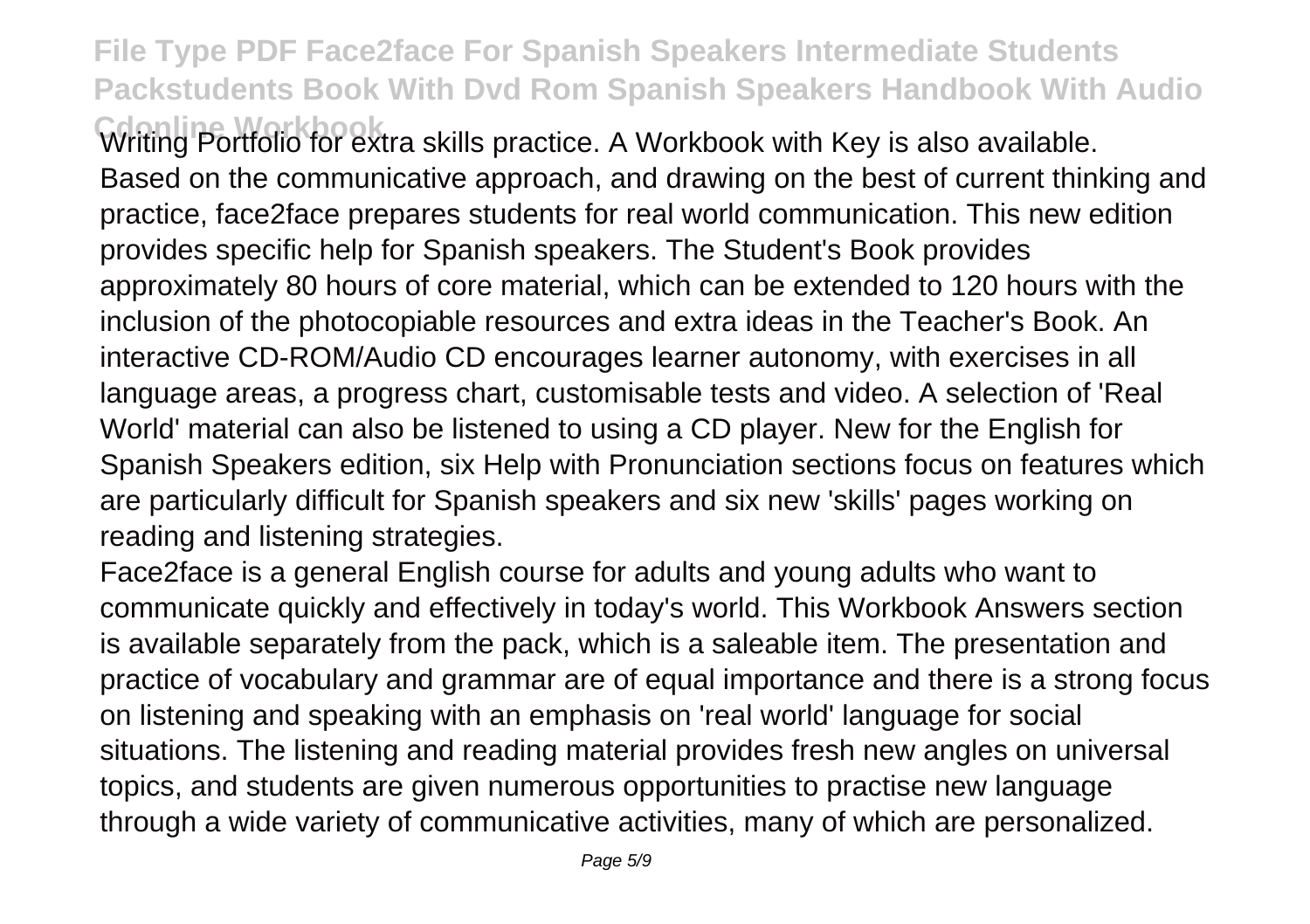**Cdonline Workbook** Writing Portfolio for extra skills practice. A Workbook with Key is also available. Based on the communicative approach, and drawing on the best of current thinking and practice, face2face prepares students for real world communication. This new edition provides specific help for Spanish speakers. The Student's Book provides approximately 80 hours of core material, which can be extended to 120 hours with the inclusion of the photocopiable resources and extra ideas in the Teacher's Book. An interactive CD-ROM/Audio CD encourages learner autonomy, with exercises in all language areas, a progress chart, customisable tests and video. A selection of 'Real World' material can also be listened to using a CD player. New for the English for Spanish Speakers edition, six Help with Pronunciation sections focus on features which are particularly difficult for Spanish speakers and six new 'skills' pages working on reading and listening strategies.

Face2face is a general English course for adults and young adults who want to communicate quickly and effectively in today's world. This Workbook Answers section is available separately from the pack, which is a saleable item. The presentation and practice of vocabulary and grammar are of equal importance and there is a strong focus on listening and speaking with an emphasis on 'real world' language for social situations. The listening and reading material provides fresh new angles on universal topics, and students are given numerous opportunities to practise new language through a wide variety of communicative activities, many of which are personalized.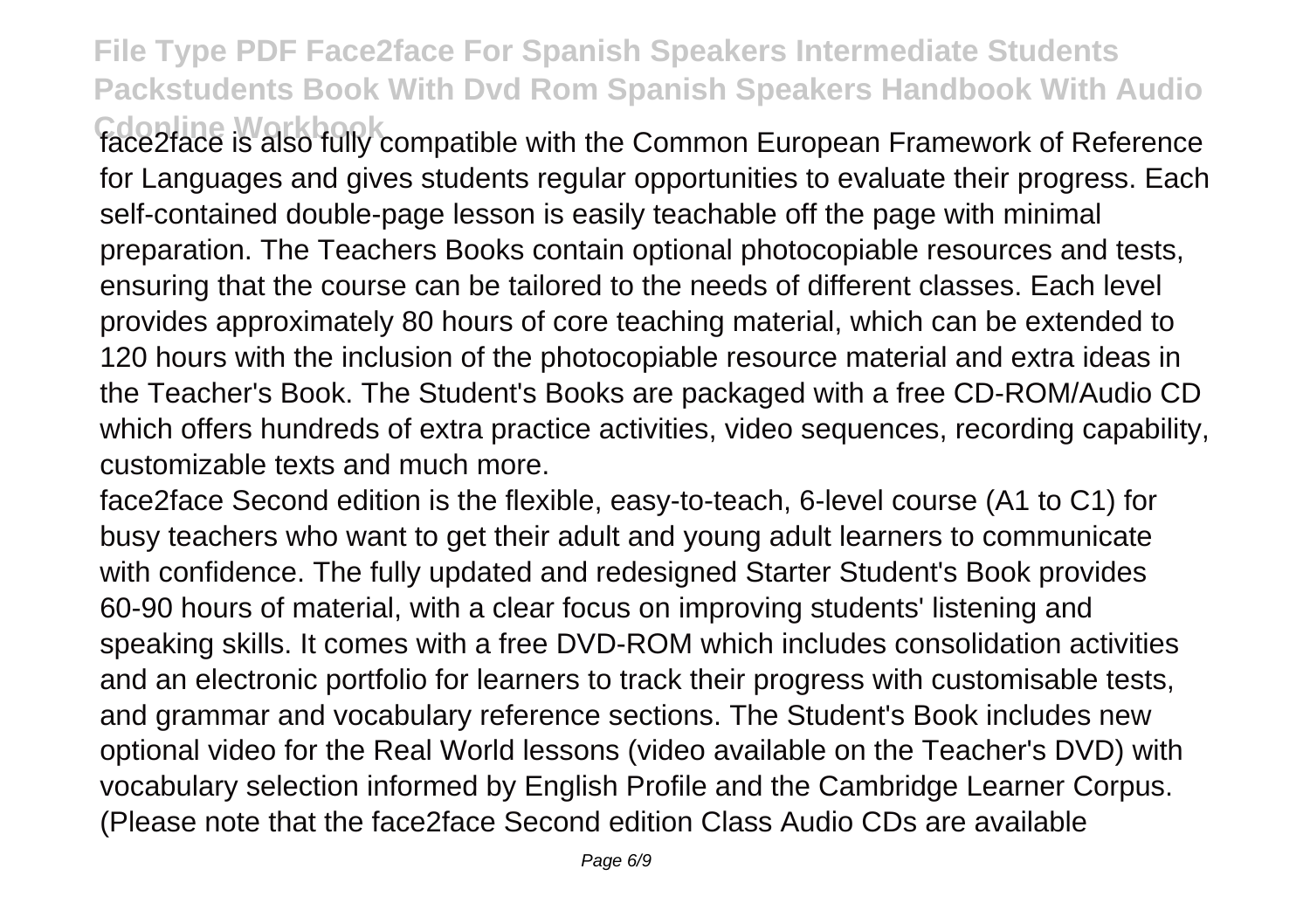**Cdonline Workbook** face2face is also fully compatible with the Common European Framework of Reference for Languages and gives students regular opportunities to evaluate their progress. Each self-contained double-page lesson is easily teachable off the page with minimal preparation. The Teachers Books contain optional photocopiable resources and tests, ensuring that the course can be tailored to the needs of different classes. Each level provides approximately 80 hours of core teaching material, which can be extended to 120 hours with the inclusion of the photocopiable resource material and extra ideas in the Teacher's Book. The Student's Books are packaged with a free CD-ROM/Audio CD which offers hundreds of extra practice activities, video sequences, recording capability, customizable texts and much more.

face2face Second edition is the flexible, easy-to-teach, 6-level course (A1 to C1) for busy teachers who want to get their adult and young adult learners to communicate with confidence. The fully updated and redesigned Starter Student's Book provides 60-90 hours of material, with a clear focus on improving students' listening and speaking skills. It comes with a free DVD-ROM which includes consolidation activities and an electronic portfolio for learners to track their progress with customisable tests, and grammar and vocabulary reference sections. The Student's Book includes new optional video for the Real World lessons (video available on the Teacher's DVD) with vocabulary selection informed by English Profile and the Cambridge Learner Corpus. (Please note that the face2face Second edition Class Audio CDs are available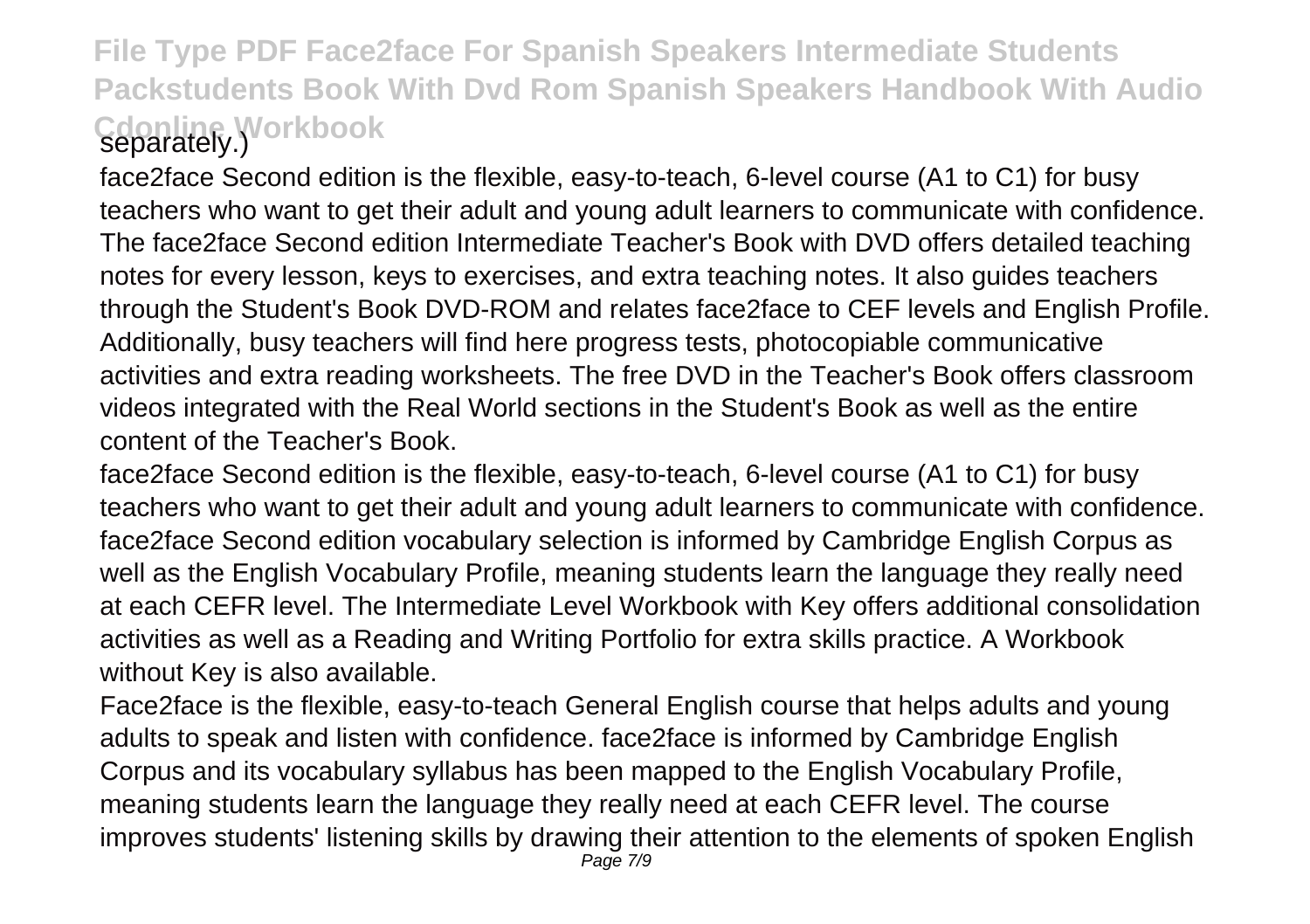## **File Type PDF Face2face For Spanish Speakers Intermediate Students Packstudents Book With Dvd Rom Spanish Speakers Handbook With Audio Cdonline Workbook** separately.)

face2face Second edition is the flexible, easy-to-teach, 6-level course (A1 to C1) for busy teachers who want to get their adult and young adult learners to communicate with confidence. The face2face Second edition Intermediate Teacher's Book with DVD offers detailed teaching notes for every lesson, keys to exercises, and extra teaching notes. It also guides teachers through the Student's Book DVD-ROM and relates face2face to CEF levels and English Profile. Additionally, busy teachers will find here progress tests, photocopiable communicative activities and extra reading worksheets. The free DVD in the Teacher's Book offers classroom videos integrated with the Real World sections in the Student's Book as well as the entire content of the Teacher's Book.

face2face Second edition is the flexible, easy-to-teach, 6-level course (A1 to C1) for busy teachers who want to get their adult and young adult learners to communicate with confidence. face2face Second edition vocabulary selection is informed by Cambridge English Corpus as well as the English Vocabulary Profile, meaning students learn the language they really need at each CEFR level. The Intermediate Level Workbook with Key offers additional consolidation activities as well as a Reading and Writing Portfolio for extra skills practice. A Workbook without Key is also available.

Face2face is the flexible, easy-to-teach General English course that helps adults and young adults to speak and listen with confidence. face2face is informed by Cambridge English Corpus and its vocabulary syllabus has been mapped to the English Vocabulary Profile, meaning students learn the language they really need at each CEFR level. The course improves students' listening skills by drawing their attention to the elements of spoken English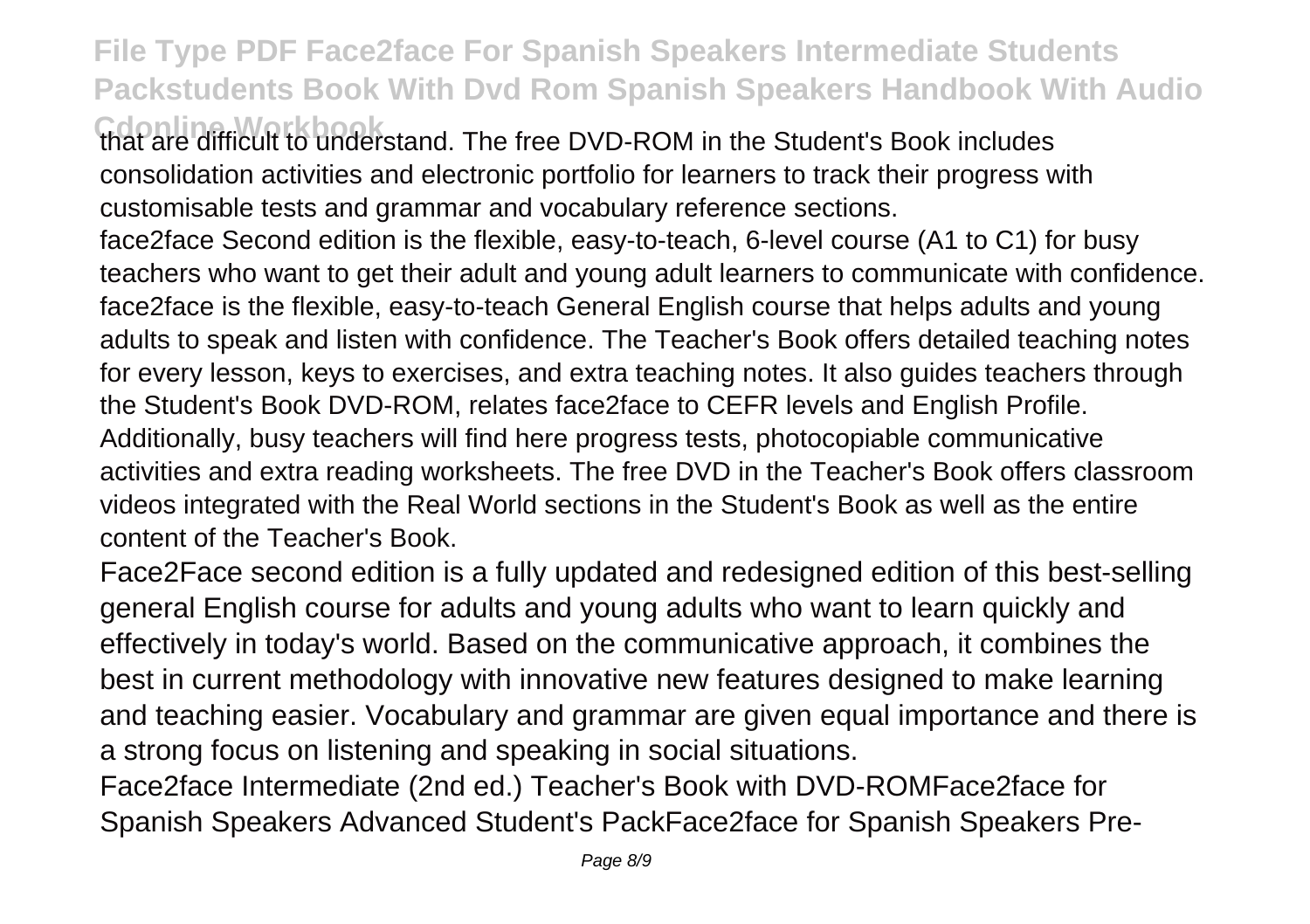**Cdonline Workbook** that are difficult to understand. The free DVD-ROM in the Student's Book includes consolidation activities and electronic portfolio for learners to track their progress with customisable tests and grammar and vocabulary reference sections. face2face Second edition is the flexible, easy-to-teach, 6-level course (A1 to C1) for busy teachers who want to get their adult and young adult learners to communicate with confidence. face2face is the flexible, easy-to-teach General English course that helps adults and young adults to speak and listen with confidence. The Teacher's Book offers detailed teaching notes

for every lesson, keys to exercises, and extra teaching notes. It also guides teachers through the Student's Book DVD-ROM, relates face2face to CEFR levels and English Profile.

Additionally, busy teachers will find here progress tests, photocopiable communicative activities and extra reading worksheets. The free DVD in the Teacher's Book offers classroom videos integrated with the Real World sections in the Student's Book as well as the entire content of the Teacher's Book.

Face2Face second edition is a fully updated and redesigned edition of this best-selling general English course for adults and young adults who want to learn quickly and effectively in today's world. Based on the communicative approach, it combines the best in current methodology with innovative new features designed to make learning and teaching easier. Vocabulary and grammar are given equal importance and there is a strong focus on listening and speaking in social situations.

Face2face Intermediate (2nd ed.) Teacher's Book with DVD-ROMFace2face for Spanish Speakers Advanced Student's PackFace2face for Spanish Speakers Pre